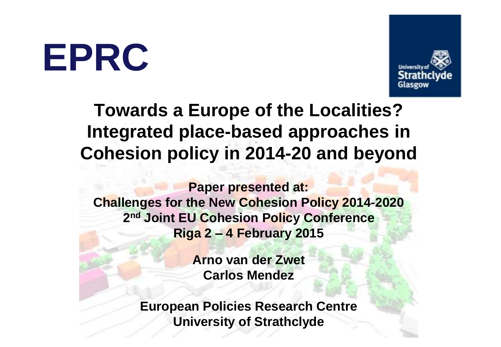**EPRC**



### **Towards a Europe of the Localities? Integrated place-based approaches in Cohesion policy in 2014-20 and beyond**

**Paper presented at: Challenges for the New Cohesion Policy 2014-2020 2 nd Joint EU Cohesion Policy Conference Riga 2 – 4 February 2015**

> **Arno van der Zwet Carlos Mendez**

**European Policies Research Centre University of Strathclyde**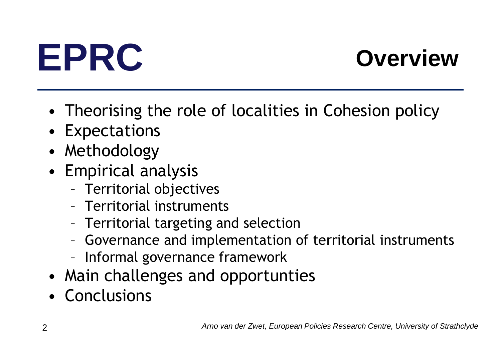

- Theorising the role of localities in Cohesion policy
- Expectations
- Methodology
- Empirical analysis
	- Territorial objectives
	- Territorial instruments
	- Territorial targeting and selection
	- Governance and implementation of territorial instruments
	- Informal governance framework
- Main challenges and opportunties
- Conclusions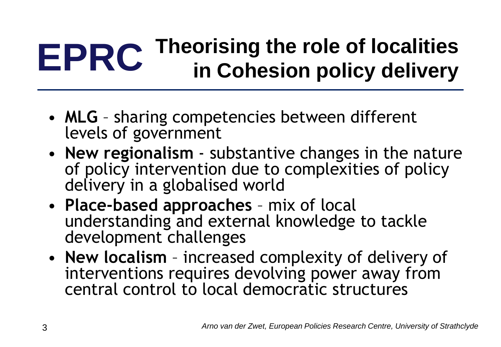## **EPRC Theorising the role of localities in Cohesion policy delivery**

- **MLG** sharing competencies between different levels of government
- **New regionalism**  substantive changes in the nature of policy intervention due to complexities of policy delivery in a globalised world
- **Place-based approaches**  mix of local understanding and external knowledge to tackle development challenges
- **New localism**  increased complexity of delivery of interventions requires devolving power away from central control to local democratic structures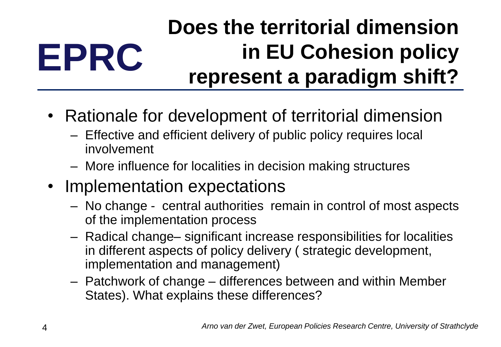### **EPRC Does the territorial dimension in EU Cohesion policy represent a paradigm shift?**

- Rationale for development of territorial dimension
	- Effective and efficient delivery of public policy requires local involvement
	- More influence for localities in decision making structures
- Implementation expectations
	- No change central authorities remain in control of most aspects of the implementation process
	- Radical change– significant increase responsibilities for localities in different aspects of policy delivery ( strategic development, implementation and management)
	- Patchwork of change differences between and within Member States). What explains these differences?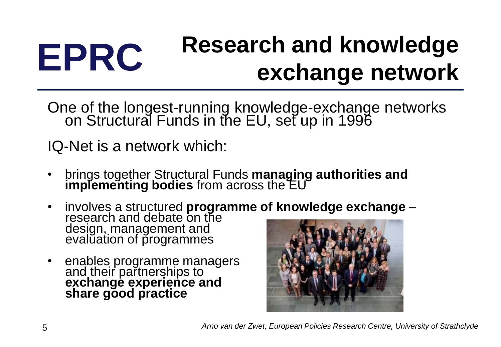## **EPRC Research and knowledge exchange network**

One of the longest-running knowledge-exchange networks on Structural Funds in the EU, set up in 1996

IQ-Net is a network which:

- brings together Structural Funds **managing authorities and implementing bodies** from across the EU
- involves a structured **programme of knowledge exchange**  research and debate on the design, management and evalŭation of programmes
- enables programme managers and their partnerships to **exchange experience and share good practice**

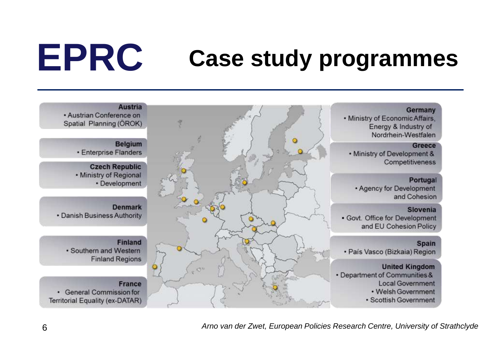## **EPRC Case study programmes**

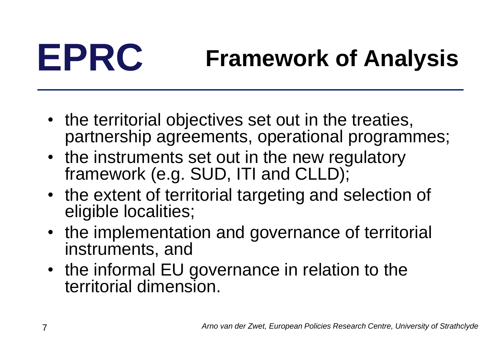## **EPRC Framework of Analysis**

- the territorial objectives set out in the treaties, partnership agreements, operational programmes;
- the instruments set out in the new regulatory framework (e.g. SUD, ITI and CLLD);
- the extent of territorial targeting and selection of eligible localities;
- the implementation and governance of territorial instruments, and
- the informal EU governance in relation to the territorial dimension.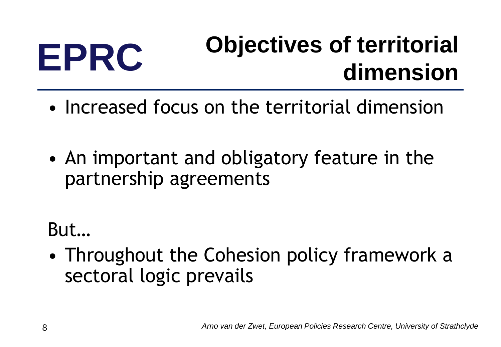## **EPRC Objectives of territorial dimension**

- Increased focus on the territorial dimension
- An important and obligatory feature in the partnership agreements

But…

• Throughout the Cohesion policy framework a sectoral logic prevails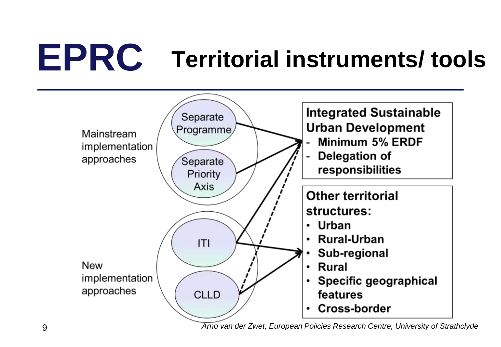# **EPRC Territorial instruments/ tools**



9 *Arno van der Zwet, European Policies Research Centre, University of Strathclyde*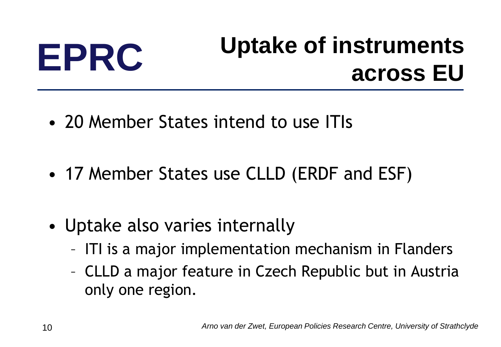## **EPRC Uptake of instruments across EU**

- 20 Member States intend to use ITIs
- 17 Member States use CLLD (ERDF and ESF)
- Uptake also varies internally
	- ITI is a major implementation mechanism in Flanders
	- CLLD a major feature in Czech Republic but in Austria only one region.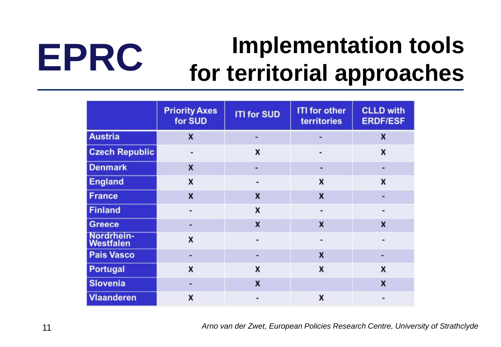## **EPRC Implementation tools for territorial approaches**

|                         | <b>Priority Axes</b><br>for SUD | <b>ITI for SUD</b> | <b>ITI for other</b><br><b>territories</b> | <b>CLLD with</b><br><b>ERDF/ESF</b> |
|-------------------------|---------------------------------|--------------------|--------------------------------------------|-------------------------------------|
| <b>Austria</b>          | $\overline{\mathbf{x}}$         | ۰                  |                                            | X                                   |
| <b>Czech Republic</b>   |                                 | $\boldsymbol{x}$   |                                            | X                                   |
| <b>Denmark</b>          | $\boldsymbol{x}$                | ۰                  | ۰                                          | $\blacksquare$                      |
| <b>England</b>          | $\boldsymbol{x}$                | ۰                  | X                                          | X                                   |
| <b>France</b>           | $\boldsymbol{x}$                | $\boldsymbol{x}$   | $\boldsymbol{x}$                           |                                     |
| <b>Finland</b>          | ٠                               | X                  | ۰                                          |                                     |
| <b>Greece</b>           | F.                              | $\boldsymbol{x}$   | $\boldsymbol{x}$                           | $\mathsf{x}$                        |
| Nordrhein-<br>Westfalen | $\boldsymbol{x}$                | ۰                  | ۰                                          | ۰                                   |
| <b>Pais Vasco</b>       | ÷                               |                    | $\mathbf{x}$                               |                                     |
| Portugal                | X                               | X                  | X                                          | X                                   |
| <b>Slovenia</b>         | ٠                               | $\boldsymbol{x}$   |                                            | X                                   |
| <b>Vlaanderen</b>       | X                               |                    | X                                          | $\blacksquare$                      |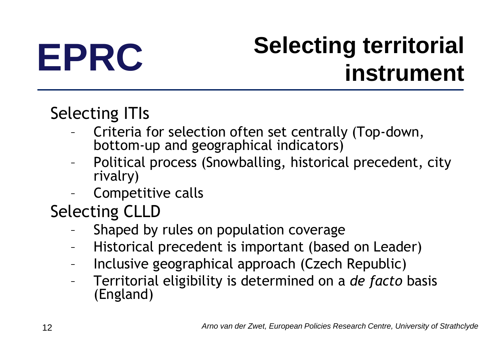## **EPRC Selecting territorial instrument**

### Selecting ITIs

- Criteria for selection often set centrally (Top-down, bottom-up and geographical indicators)
- Political process (Snowballing, historical precedent, city rivalry)
- Competitive calls

Selecting CLLD

- Shaped by rules on population coverage
- Historical precedent is important (based on Leader)
- Inclusive geographical approach (Czech Republic)
- Territorial eligibility is determined on a *de facto* basis (England)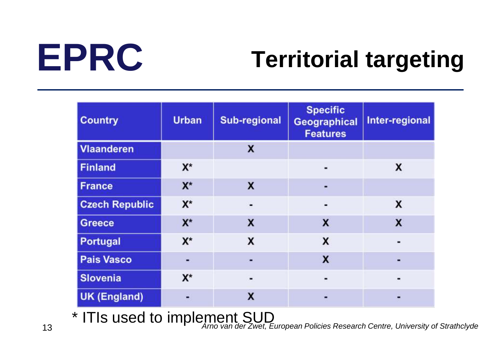## **EPRC Territorial targeting**

| <b>Country</b>        | <b>Urban</b> | <b>Sub-regional</b> | <b>Specific</b><br><b>Geographical</b><br><b>Features</b> | Inter-regional |
|-----------------------|--------------|---------------------|-----------------------------------------------------------|----------------|
| <b>Vlaanderen</b>     |              | x                   |                                                           |                |
| <b>Finland</b>        | $X^*$        |                     |                                                           | X              |
| <b>France</b>         | $X^*$        | X                   |                                                           |                |
| <b>Czech Republic</b> | $X^*$        |                     |                                                           | X              |
| <b>Greece</b>         | $X^*$        | x                   | X                                                         | X              |
| Portugal              | $X^*$        | x                   | X                                                         |                |
| <b>Pais Vasco</b>     |              |                     | X                                                         |                |
| <b>Slovenia</b>       | $X^*$        | ۰                   | ۰                                                         |                |
| <b>UK (England)</b>   | ۳            | X                   |                                                           |                |

13 *Arno van der Zwet, European Policies Research Centre, University of Strathclyde* \* ITIs used to implement SUD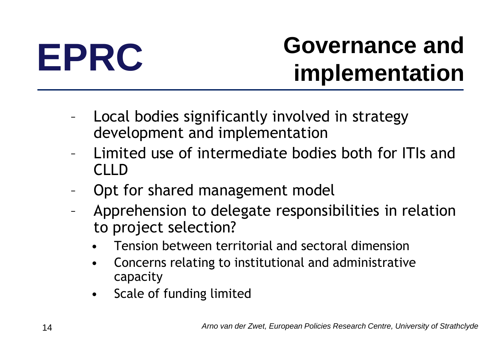## **EPRC Governance and implementation**

- Local bodies significantly involved in strategy development and implementation
- Limited use of intermediate bodies both for ITIs and CLLD
- Opt for shared management model
- Apprehension to delegate responsibilities in relation to project selection?
	- Tension between territorial and sectoral dimension
	- Concerns relating to institutional and administrative capacity
	- Scale of funding limited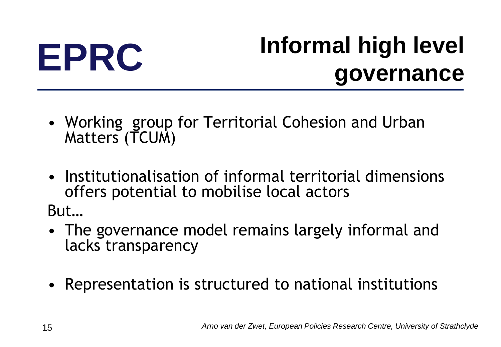## **EPRC Informal high level governance**

- Working group for Territorial Cohesion and Urban Matters (TCUM)
- Institutionalisation of informal territorial dimensions offers potential to mobilise local actors

But…

- The governance model remains largely informal and lacks transparency
- Representation is structured to national institutions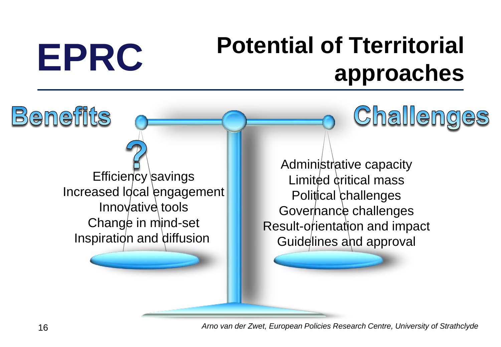## **EPRC Potential of Tterritorial approaches**

Challenges

Increased Idcal engagement Inspiration and diffusion Administrative capacity Limited critical mass Political challenges Governance challenges Result-orientation and impact Guidelines and approval

Benefits

Efficiency savings

Innovative tools

Change in mind-set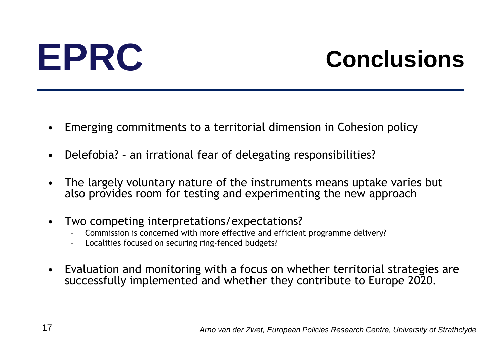## **EPRC Conclusions**

- Emerging commitments to a territorial dimension in Cohesion policy
- Delefobia? an irrational fear of delegating responsibilities?
- The largely voluntary nature of the instruments means uptake varies but also provides room for testing and experimenting the new approach
- Two competing interpretations/expectations?
	- Commission is concerned with more effective and efficient programme delivery?
	- Localities focused on securing ring-fenced budgets?
- Evaluation and monitoring with a focus on whether territorial strategies are successfully implemented and whether they contribute to Europe 2020.